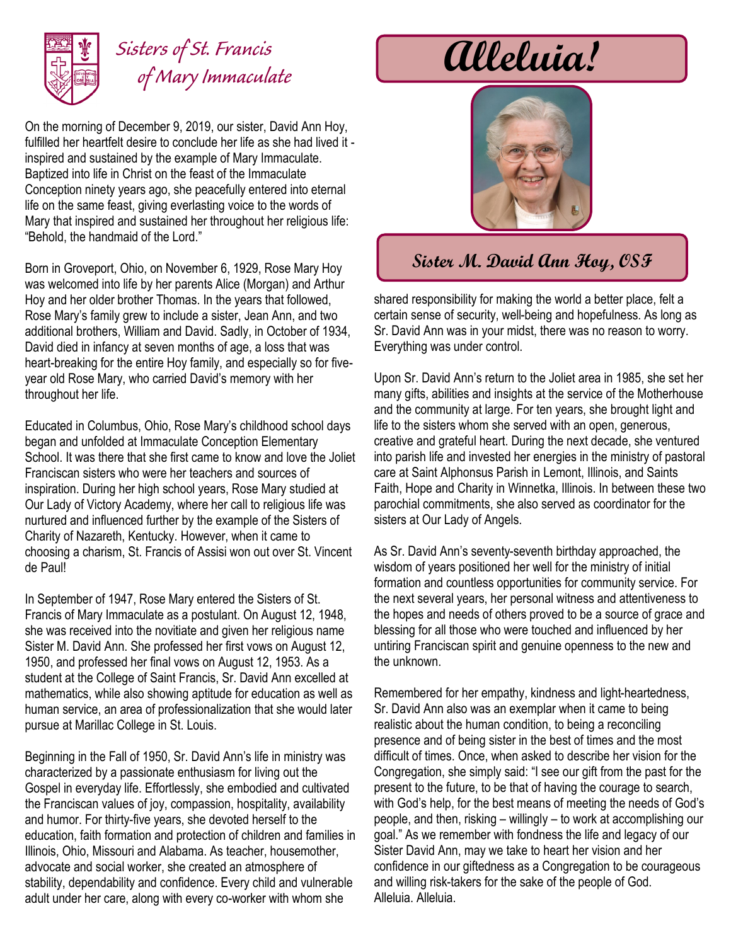

## *Sisters of St. Francis of Mary Immaculate*

On the morning of December 9, 2019, our sister, David Ann Hoy, fulfilled her heartfelt desire to conclude her life as she had lived it inspired and sustained by the example of Mary Immaculate. Baptized into life in Christ on the feast of the Immaculate Conception ninety years ago, she peacefully entered into eternal life on the same feast, giving everlasting voice to the words of Mary that inspired and sustained her throughout her religious life: "Behold, the handmaid of the Lord."

Born in Groveport, Ohio, on November 6, 1929, Rose Mary Hoy was welcomed into life by her parents Alice (Morgan) and Arthur Hoy and her older brother Thomas. In the years that followed, Rose Mary's family grew to include a sister, Jean Ann, and two additional brothers, William and David. Sadly, in October of 1934, David died in infancy at seven months of age, a loss that was heart-breaking for the entire Hoy family, and especially so for fiveyear old Rose Mary, who carried David's memory with her throughout her life.

Educated in Columbus, Ohio, Rose Mary's childhood school days began and unfolded at Immaculate Conception Elementary School. It was there that she first came to know and love the Joliet Franciscan sisters who were her teachers and sources of inspiration. During her high school years, Rose Mary studied at Our Lady of Victory Academy, where her call to religious life was nurtured and influenced further by the example of the Sisters of Charity of Nazareth, Kentucky. However, when it came to choosing a charism, St. Francis of Assisi won out over St. Vincent de Paul!

In September of 1947, Rose Mary entered the Sisters of St. Francis of Mary Immaculate as a postulant. On August 12, 1948, she was received into the novitiate and given her religious name Sister M. David Ann. She professed her first vows on August 12, 1950, and professed her final vows on August 12, 1953. As a student at the College of Saint Francis, Sr. David Ann excelled at mathematics, while also showing aptitude for education as well as human service, an area of professionalization that she would later pursue at Marillac College in St. Louis.

Beginning in the Fall of 1950, Sr. David Ann's life in ministry was characterized by a passionate enthusiasm for living out the Gospel in everyday life. Effortlessly, she embodied and cultivated the Franciscan values of joy, compassion, hospitality, availability and humor. For thirty-five years, she devoted herself to the education, faith formation and protection of children and families in Illinois, Ohio, Missouri and Alabama. As teacher, housemother, advocate and social worker, she created an atmosphere of stability, dependability and confidence. Every child and vulnerable adult under her care, along with every co-worker with whom she

**Alleluia!**



## **Sister M. David Ann Hoy, OSF**

shared responsibility for making the world a better place, felt a certain sense of security, well-being and hopefulness. As long as Sr. David Ann was in your midst, there was no reason to worry. Everything was under control.

Upon Sr. David Ann's return to the Joliet area in 1985, she set her many gifts, abilities and insights at the service of the Motherhouse and the community at large. For ten years, she brought light and life to the sisters whom she served with an open, generous, creative and grateful heart. During the next decade, she ventured into parish life and invested her energies in the ministry of pastoral care at Saint Alphonsus Parish in Lemont, Illinois, and Saints Faith, Hope and Charity in Winnetka, Illinois. In between these two parochial commitments, she also served as coordinator for the sisters at Our Lady of Angels.

As Sr. David Ann's seventy-seventh birthday approached, the wisdom of years positioned her well for the ministry of initial formation and countless opportunities for community service. For the next several years, her personal witness and attentiveness to the hopes and needs of others proved to be a source of grace and blessing for all those who were touched and influenced by her untiring Franciscan spirit and genuine openness to the new and the unknown.

Remembered for her empathy, kindness and light-heartedness, Sr. David Ann also was an exemplar when it came to being realistic about the human condition, to being a reconciling presence and of being sister in the best of times and the most difficult of times. Once, when asked to describe her vision for the Congregation, she simply said: "I see our gift from the past for the present to the future, to be that of having the courage to search, with God's help, for the best means of meeting the needs of God's people, and then, risking – willingly – to work at accomplishing our goal." As we remember with fondness the life and legacy of our Sister David Ann, may we take to heart her vision and her confidence in our giftedness as a Congregation to be courageous and willing risk-takers for the sake of the people of God. Alleluia. Alleluia.